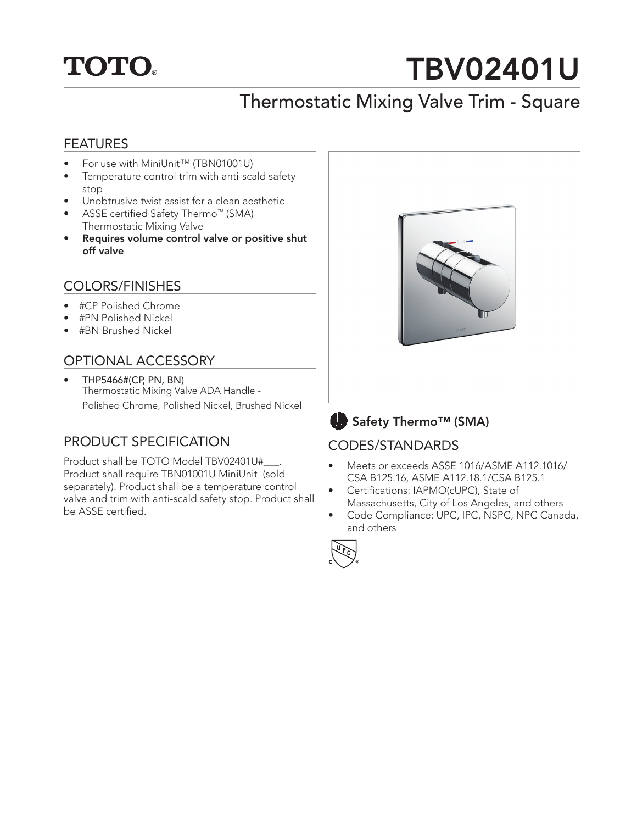## **TOTO.**

# TBV02401U

## Thermostatic Mixing Valve Trim - Square

#### FEATURES

- For use with MiniUnit™ (TBN01001U)
- Temperature control trim with anti-scald safety stop
- Unobtrusive twist assist for a clean aesthetic
- ASSE certified Safety Thermo™ (SMA) Thermostatic Mixing Valve
- Requires volume control valve or positive shut off valve

#### COLORS/FINISHES

- #CP Polished Chrome
- #PN Polished Nickel
- #BN Brushed Nickel

#### OPTIONAL ACCESSORY

• THP5466#(CP, PN, BN) Thermostatic Mixing Valve ADA Handle - Polished Chrome, Polished Nickel, Brushed Nickel

#### PRODUCT SPECIFICATION

Product shall be TOTO Model TBV02401U#\_\_\_. Product shall require TBN01001U MiniUnit (sold separately). Product shall be a temperature control valve and trim with anti-scald safety stop. Product shall be ASSE certified.





#### CODES/STANDARDS

- Meets or exceeds ASSE 1016/ASME A112.1016/ CSA B125.16, ASME A112.18.1/CSA B125.1
- Certifications: IAPMO(cUPC), State of Massachusetts, City of Los Angeles, and others
- Code Compliance: UPC, IPC, NSPC, NPC Canada, and others